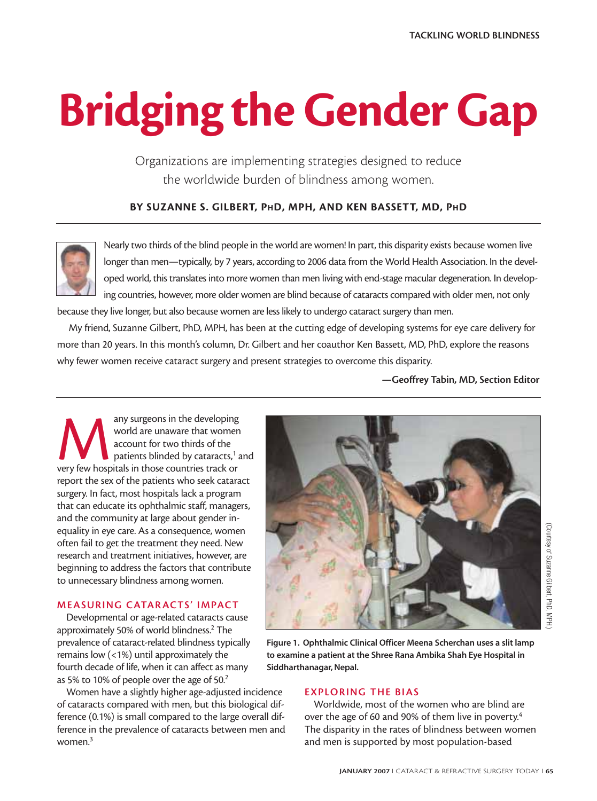# **Bridging the Gender Gap**

Organizations are implementing strategies designed to reduce the worldwide burden of blindness among women.

**BY SUZANNE S. GILBERT, PHD, MPH, AND KEN BASSETT, MD, PHD**



Nearly two thirds of the blind people in the world are women! In part, this disparity exists because women live longer than men—typically, by 7 years, according to 2006 data from the World Health Association. In the developed world, this translates into more women than men living with end-stage macular degeneration. In developing countries, however, more older women are blind because of cataracts compared with older men, not only

because they live longer, but also because women are less likely to undergo cataract surgery than men.

My friend, Suzanne Gilbert, PhD, MPH, has been at the cutting edge of developing systems for eye care delivery for more than 20 years. In this month's column, Dr. Gilbert and her coauthor Ken Bassett, MD, PhD, explore the reasons why fewer women receive cataract surgery and present strategies to overcome this disparity.

**—Geoffrey Tabin, MD, Section Editor**

any surgeons in the developing<br>
world are unaware that womer<br>
account for two thirds of the<br>
patients blinded by cataracts,<sup>1</sup><br>
very few hospitals in those countries track or world are unaware that women account for two thirds of the patients blinded by cataracts,<sup>1</sup> and report the sex of the patients who seek cataract surgery. In fact, most hospitals lack a program that can educate its ophthalmic staff, managers, and the community at large about gender inequality in eye care. As a consequence, women often fail to get the treatment they need. New research and treatment initiatives, however, are beginning to address the factors that contribute to unnecessary blindness among women.

## **MEASURING CATAR ACTS' IMPACT**

Developmental or age-related cataracts cause approximately 50% of world blindness.2 The prevalence of cataract-related blindness typically remains low (<1%) until approximately the fourth decade of life, when it can affect as many as 5% to 10% of people over the age of 50.2

Women have a slightly higher age-adjusted incidence of cataracts compared with men, but this biological difference (0.1%) is small compared to the large overall difference in the prevalence of cataracts between men and women.3



**Figure 1. Ophthalmic Clinical Officer Meena Scherchan uses a slit lamp to examine a patient at the Shree Rana Ambika Shah Eye Hospital in Siddharthanagar, Nepal.**

# **EXPLORING THE BIAS**

Worldwide, most of the women who are blind are over the age of 60 and 90% of them live in poverty.<sup>4</sup> The disparity in the rates of blindness between women and men is supported by most population-based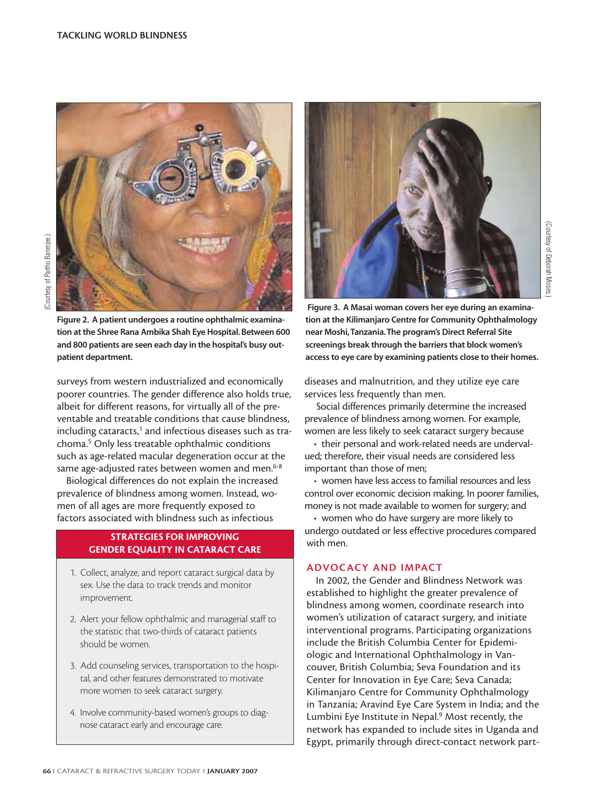

**Figure 2. A patient undergoes a routine ophthalmic examination at the Shree Rana Ambika Shah Eye Hospital. Between 600 and 800 patients are seen each day in the hospital's busy outpatient department.**

surveys from western industrialized and economically poorer countries. The gender difference also holds true, albeit for different reasons, for virtually all of the preventable and treatable conditions that cause blindness, including cataracts,<sup>1</sup> and infectious diseases such as trachoma.5 Only less treatable ophthalmic conditions such as age-related macular degeneration occur at the same age-adjusted rates between women and men.<sup>6-8</sup>

Biological differences do not explain the increased prevalence of blindness among women. Instead, women of all ages are more frequently exposed to factors associated with blindness such as infectious

## **STRATEGIES FOR IMPROVING GENDER EQUALITY IN CATARACT CARE**

- 1. Collect, analyze, and report cataract surgical data by sex. Use the data to track trends and monitor improvement.
- 2. Alert your fellow ophthalmic and managerial staff to the statistic that two-thirds of cataract patients should be women.
- 3. Add counseling services, transportation to the hospital, and other features demonstrated to motivate more women to seek cataract surgery.
- 4. Involve community-based women's groups to diagnose cataract early and encourage care.



**Figure 3. A Masai woman covers her eye during an examination at the Kilimanjaro Centre for Community Ophthalmology near Moshi,Tanzania.The program's Direct Referral Site screenings break through the barriers that block women's access to eye care by examining patients close to their homes.**

(Courtesy of Deborah Moses.)

Courtesy of Deborah Moses

diseases and malnutrition, and they utilize eye care services less frequently than men.

Social differences primarily determine the increased prevalence of blindness among women. For example, women are less likely to seek cataract surgery because

• their personal and work-related needs are undervalued; therefore, their visual needs are considered less important than those of men;

• women have less access to familial resources and less control over economic decision making. In poorer families, money is not made available to women for surgery; and

• women who do have surgery are more likely to undergo outdated or less effective procedures compared with men.

# **ADVOCACY AND IMPACT**

In 2002, the Gender and Blindness Network was established to highlight the greater prevalence of blindness among women, coordinate research into women's utilization of cataract surgery, and initiate interventional programs. Participating organizations include the British Columbia Center for Epidemiologic and International Ophthalmology in Vancouver, British Columbia; Seva Foundation and its Center for Innovation in Eye Care; Seva Canada; Kilimanjaro Centre for Community Ophthalmology in Tanzania; Aravind Eye Care System in India; and the Lumbini Eye Institute in Nepal.9 Most recently, the network has expanded to include sites in Uganda and Egypt, primarily through direct-contact network part